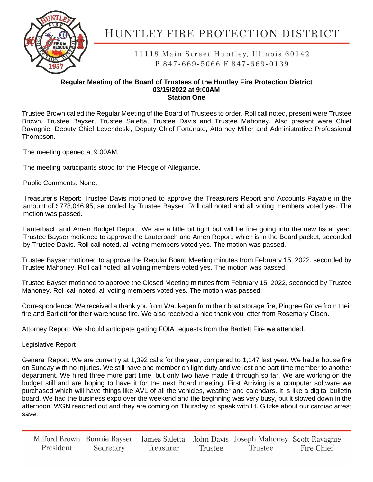

## HUNTLEY FIRE PROTECTION DISTRICT

11118 Main Street Huntley, Illinois 60142 P 847-669-5066 F 847-669-0139

## **Regular Meeting of the Board of Trustees of the Huntley Fire Protection District 03/15/2022 at 9:00AM Station One**

Trustee Brown called the Regular Meeting of the Board of Trustees to order. Roll call noted, present were Trustee Brown, Trustee Bayser, Trustee Saletta, Trustee Davis and Trustee Mahoney. Also present were Chief Ravagnie, Deputy Chief Levendoski, Deputy Chief Fortunato, Attorney Miller and Administrative Professional Thompson.

The meeting opened at 9:00AM.

The meeting participants stood for the Pledge of Allegiance.

Public Comments: None.

Treasurer's Report: Trustee Davis motioned to approve the Treasurers Report and Accounts Payable in the amount of \$778,046.95, seconded by Trustee Bayser. Roll call noted and all voting members voted yes. The motion was passed.

Lauterbach and Amen Budget Report: We are a little bit tight but will be fine going into the new fiscal year. Trustee Bayser motioned to approve the Lauterbach and Amen Report, which is in the Board packet, seconded by Trustee Davis. Roll call noted, all voting members voted yes. The motion was passed.

Trustee Bayser motioned to approve the Regular Board Meeting minutes from February 15, 2022, seconded by Trustee Mahoney. Roll call noted, all voting members voted yes. The motion was passed.

Trustee Bayser motioned to approve the Closed Meeting minutes from February 15, 2022, seconded by Trustee Mahoney. Roll call noted, all voting members voted yes. The motion was passed.

Correspondence: We received a thank you from Waukegan from their boat storage fire, Pingree Grove from their fire and Bartlett for their warehouse fire. We also received a nice thank you letter from Rosemary Olsen.

Attorney Report: We should anticipate getting FOIA requests from the Bartlett Fire we attended.

Legislative Report

General Report: We are currently at 1,392 calls for the year, compared to 1,147 last year. We had a house fire on Sunday with no injuries. We still have one member on light duty and we lost one part time member to another department. We hired three more part time, but only two have made it through so far. We are working on the budget still and are hoping to have it for the next Board meeting. First Arriving is a computer software we purchased which will have things like AVL of all the vehicles, weather and calendars. It is like a digital bulletin board. We had the business expo over the weekend and the beginning was very busy, but it slowed down in the afternoon. WGN reached out and they are coming on Thursday to speak with Lt. Gitzke about our cardiac arrest save.

Milford Brown Bonnie Bayser James Saletta John Davis Joseph Mahoney Scott Ravagnie President Secretary Treasurer Trustee Trustee Fire Chief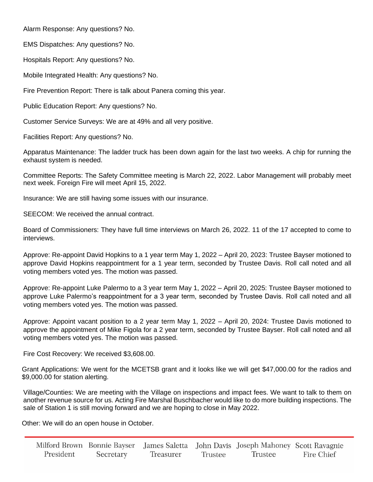Alarm Response: Any questions? No.

EMS Dispatches: Any questions? No.

Hospitals Report: Any questions? No.

Mobile Integrated Health: Any questions? No.

Fire Prevention Report: There is talk about Panera coming this year.

Public Education Report: Any questions? No.

Customer Service Surveys: We are at 49% and all very positive.

Facilities Report: Any questions? No.

Apparatus Maintenance: The ladder truck has been down again for the last two weeks. A chip for running the exhaust system is needed.

Committee Reports: The Safety Committee meeting is March 22, 2022. Labor Management will probably meet next week. Foreign Fire will meet April 15, 2022.

Insurance: We are still having some issues with our insurance.

SEECOM: We received the annual contract.

Board of Commissioners: They have full time interviews on March 26, 2022. 11 of the 17 accepted to come to interviews.

Approve: Re-appoint David Hopkins to a 1 year term May 1, 2022 – April 20, 2023: Trustee Bayser motioned to approve David Hopkins reappointment for a 1 year term, seconded by Trustee Davis. Roll call noted and all voting members voted yes. The motion was passed.

Approve: Re-appoint Luke Palermo to a 3 year term May 1, 2022 – April 20, 2025: Trustee Bayser motioned to approve Luke Palermo's reappointment for a 3 year term, seconded by Trustee Davis. Roll call noted and all voting members voted yes. The motion was passed.

Approve: Appoint vacant position to a 2 year term May 1, 2022 – April 20, 2024: Trustee Davis motioned to approve the appointment of Mike Figola for a 2 year term, seconded by Trustee Bayser. Roll call noted and all voting members voted yes. The motion was passed.

Fire Cost Recovery: We received \$3,608.00.

Grant Applications: We went for the MCETSB grant and it looks like we will get \$47,000.00 for the radios and \$9,000.00 for station alerting.

Village/Counties: We are meeting with the Village on inspections and impact fees. We want to talk to them on another revenue source for us. Acting Fire Marshal Buschbacher would like to do more building inspections. The sale of Station 1 is still moving forward and we are hoping to close in May 2022.

Other: We will do an open house in October.

|           |           |           |         | Milford Brown Bonnie Bayser James Saletta John Davis Joseph Mahoney Scott Ravagnie |            |
|-----------|-----------|-----------|---------|------------------------------------------------------------------------------------|------------|
| President | Secretary | Treasurer | Trustee | Trustee                                                                            | Fire Chief |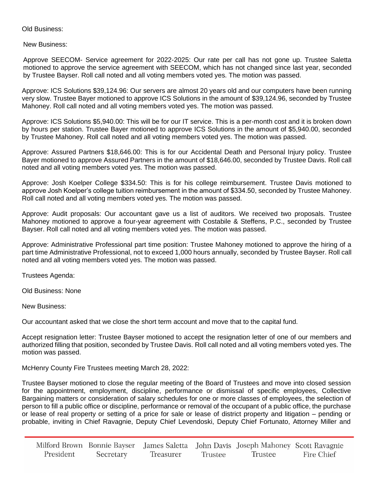## Old Business:

New Business:

Approve SEECOM- Service agreement for 2022-2025: Our rate per call has not gone up. Trustee Saletta motioned to approve the service agreement with SEECOM, which has not changed since last year, seconded by Trustee Bayser. Roll call noted and all voting members voted yes. The motion was passed.

Approve: ICS Solutions \$39,124.96: Our servers are almost 20 years old and our computers have been running very slow. Trustee Bayer motioned to approve ICS Solutions in the amount of \$39,124.96, seconded by Trustee Mahoney. Roll call noted and all voting members voted yes. The motion was passed.

Approve: ICS Solutions \$5,940.00: This will be for our IT service. This is a per-month cost and it is broken down by hours per station. Trustee Bayer motioned to approve ICS Solutions in the amount of \$5,940.00, seconded by Trustee Mahoney. Roll call noted and all voting members voted yes. The motion was passed.

Approve: Assured Partners \$18,646.00: This is for our Accidental Death and Personal Injury policy. Trustee Bayer motioned to approve Assured Partners in the amount of \$18,646.00, seconded by Trustee Davis. Roll call noted and all voting members voted yes. The motion was passed.

Approve: Josh Koelper College \$334.50: This is for his college reimbursement. Trustee Davis motioned to approve Josh Koelper's college tuition reimbursement in the amount of \$334.50, seconded by Trustee Mahoney. Roll call noted and all voting members voted yes. The motion was passed.

Approve: Audit proposals: Our accountant gave us a list of auditors. We received two proposals. Trustee Mahoney motioned to approve a four-year agreement with Costabile & Steffens, P.C., seconded by Trustee Bayser. Roll call noted and all voting members voted yes. The motion was passed.

Approve: Administrative Professional part time position: Trustee Mahoney motioned to approve the hiring of a part time Administrative Professional, not to exceed 1,000 hours annually, seconded by Trustee Bayser. Roll call noted and all voting members voted yes. The motion was passed.

Trustees Agenda:

Old Business: None

New Business:

Our accountant asked that we close the short term account and move that to the capital fund.

Accept resignation letter: Trustee Bayser motioned to accept the resignation letter of one of our members and authorized filling that position, seconded by Trustee Davis. Roll call noted and all voting members voted yes. The motion was passed.

McHenry County Fire Trustees meeting March 28, 2022:

Trustee Bayser motioned to close the regular meeting of the Board of Trustees and move into closed session for the appointment, employment, discipline, performance or dismissal of specific employees, Collective Bargaining matters or consideration of salary schedules for one or more classes of employees, the selection of person to fill a public office or discipline, performance or removal of the occupant of a public office, the purchase or lease of real property or setting of a price for sale or lease of district property and litigation – pending or probable, inviting in Chief Ravagnie, Deputy Chief Levendoski, Deputy Chief Fortunato, Attorney Miller and